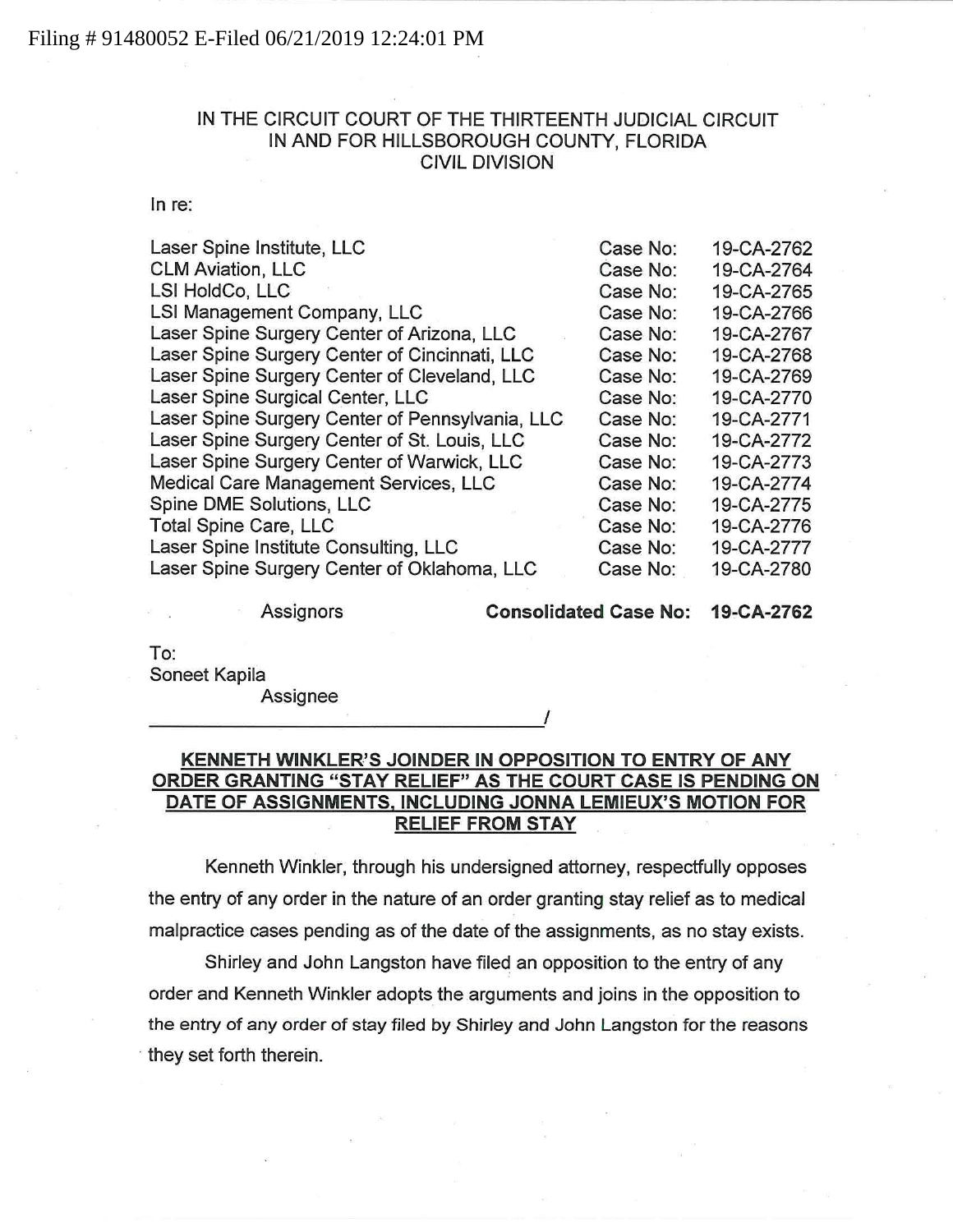### Filing # 91480052 E-Filed 06/21/2019 12:24:01 PM

# IN THE CIRCUIT COURT OF THE THIRTEENTH JUDICIAL CIRCUIT IN AND FOR HILLSBOROUGH COUNTY, FLORIDA CIVIL DIVISION

In re:

| Laser Spine Institute, LLC                      | Case No: | 19-CA-2762 |
|-------------------------------------------------|----------|------------|
| <b>CLM Aviation, LLC</b>                        | Case No: | 19-CA-2764 |
| LSI HoldCo, LLC                                 | Case No: | 19-CA-2765 |
| LSI Management Company, LLC                     | Case No: | 19-CA-2766 |
| Laser Spine Surgery Center of Arizona, LLC      | Case No: | 19-CA-2767 |
| Laser Spine Surgery Center of Cincinnati, LLC   | Case No: | 19-CA-2768 |
| Laser Spine Surgery Center of Cleveland, LLC    | Case No: | 19-CA-2769 |
| Laser Spine Surgical Center, LLC                | Case No: | 19-CA-2770 |
| Laser Spine Surgery Center of Pennsylvania, LLC | Case No: | 19-CA-2771 |
| Laser Spine Surgery Center of St. Louis, LLC    | Case No: | 19-CA-2772 |
| Laser Spine Surgery Center of Warwick, LLC      | Case No: | 19-CA-2773 |
| Medical Care Management Services, LLC           | Case No: | 19-CA-2774 |
| Spine DME Solutions, LLC                        | Case No: | 19-CA-2775 |
| <b>Total Spine Care, LLC</b>                    | Case No: | 19-CA-2776 |
| Laser Spine Institute Consulting, LLC           | Case No: | 19-CA-2777 |
| Laser Spine Surgery Center of Oklahoma, LLC     | Case No: | 19-CA-2780 |

Assignors **Consolidated Case No: 19-CA-2762** 

To:

Soneet Kapila

Assignee

# KENNETH WINKLER'S JOINDER IN OPPOSITION TO ENTRY OF ANY ORDER GRANTING "STAY RELIEF" AS THE COURT CASE IS PENDING ON DATE OF ASSIGNMENTS, INCLUDING JONNA LEMIEUX'S MOTION FOR RELIEF FROM STAY

Kenneth Winkler, through his undersigned attorney, respectfully opposes the entry of any order in the nature of an order granting stay relief as to medical malpractice cases pending as of the date of the assignments, as no stay exists.

Shirley and John Langston have filed an opposition to the entry of any order and Kenneth Winkler adopts the arguments and joins in the opposition to the entry of any order of stay filed by Shirley and John Langston for the reasons they set forth therein.